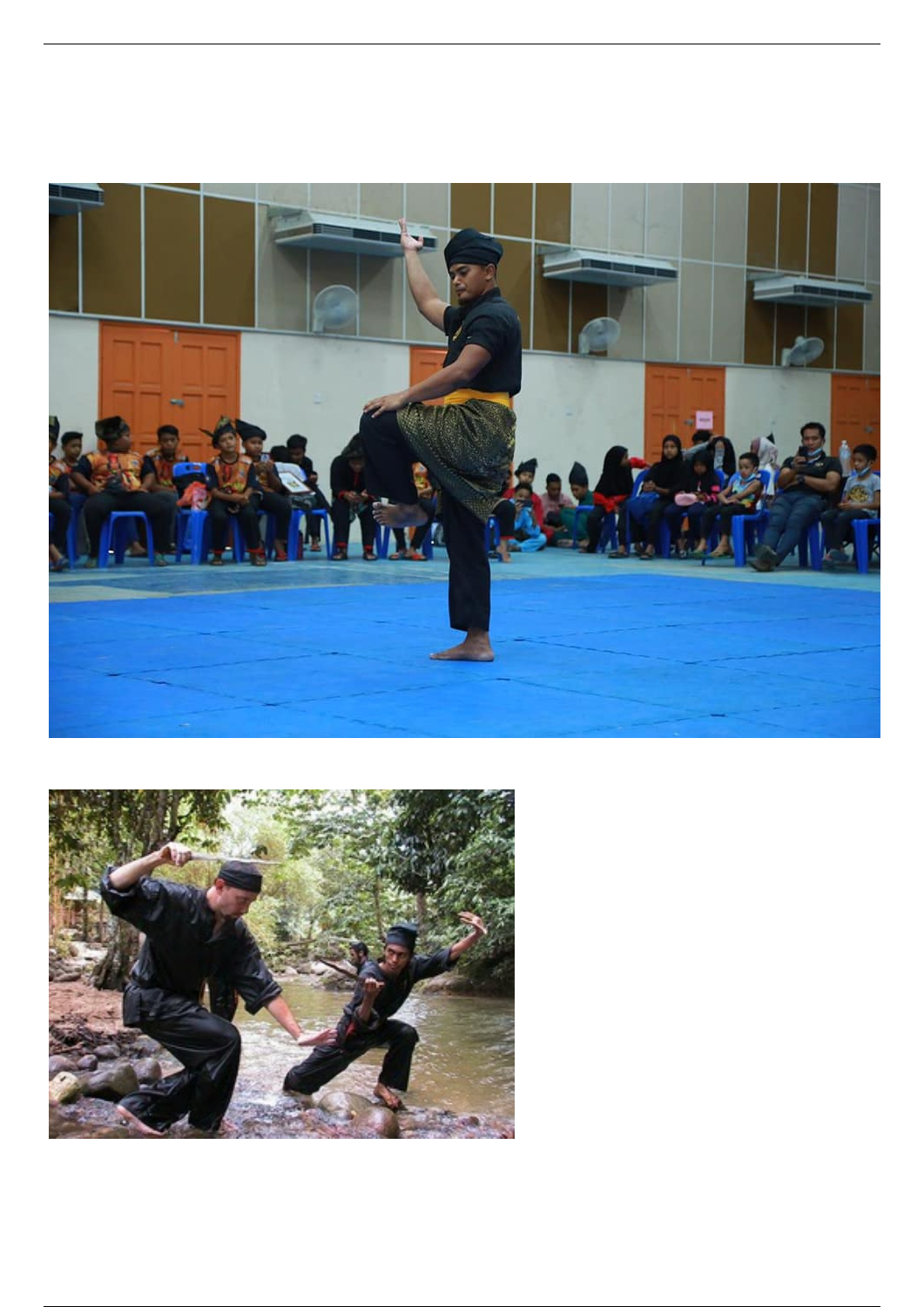

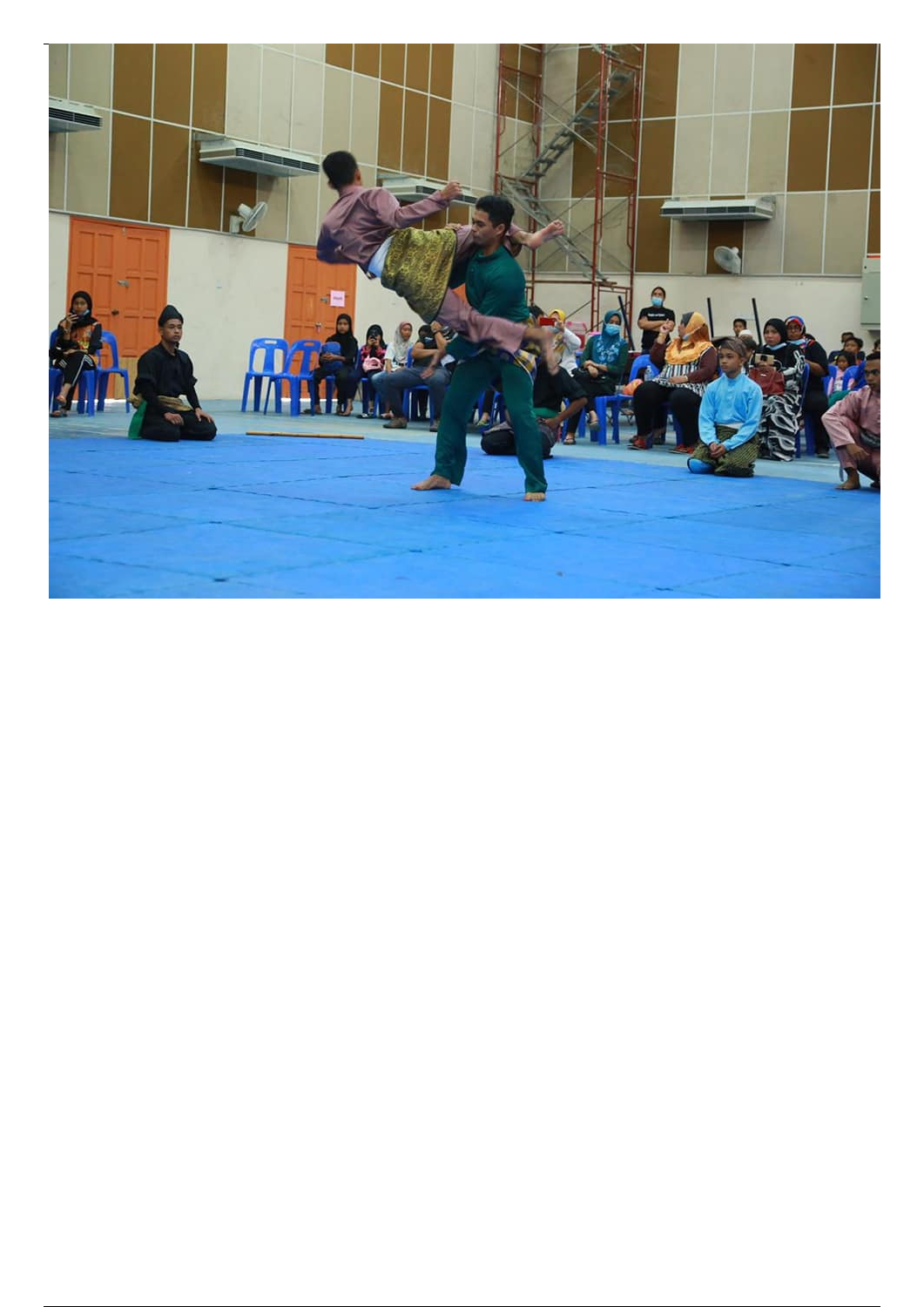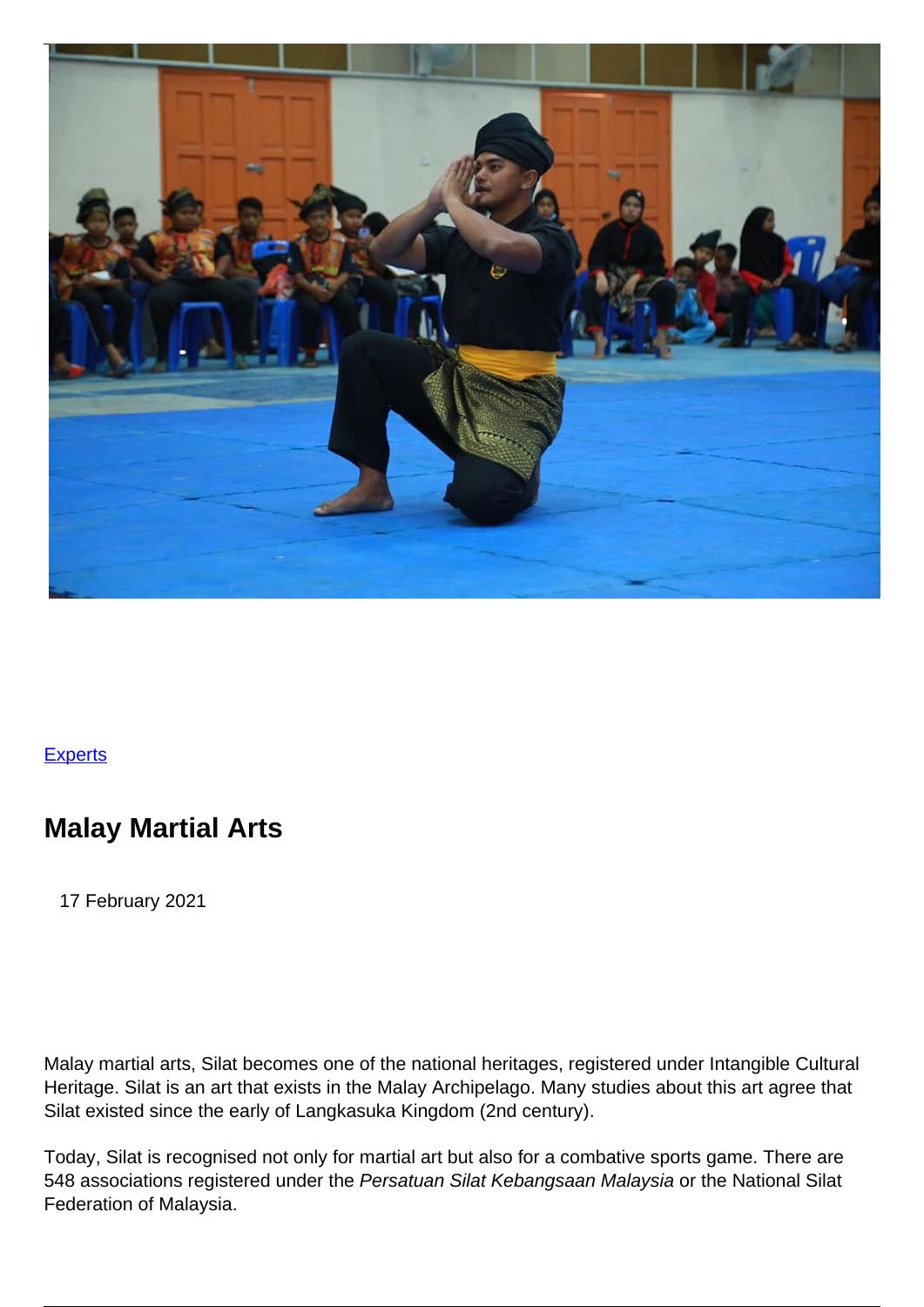

## **[Experts](/index.php/experts)**

## **Malay Martial Arts**

17 February 2021

Malay martial arts, Silat becomes one of the national heritages, registered under Intangible Cultural Heritage. Silat is an art that exists in the Malay Archipelago. Many studies about this art agree that Silat existed since the early of Langkasuka Kingdom (2nd century).

Today, Silat is recognised not only for martial art but also for a combative sports game. There are 548 associations registered under the Persatuan Silat Kebangsaan Malaysia or the National Silat Federation of Malaysia.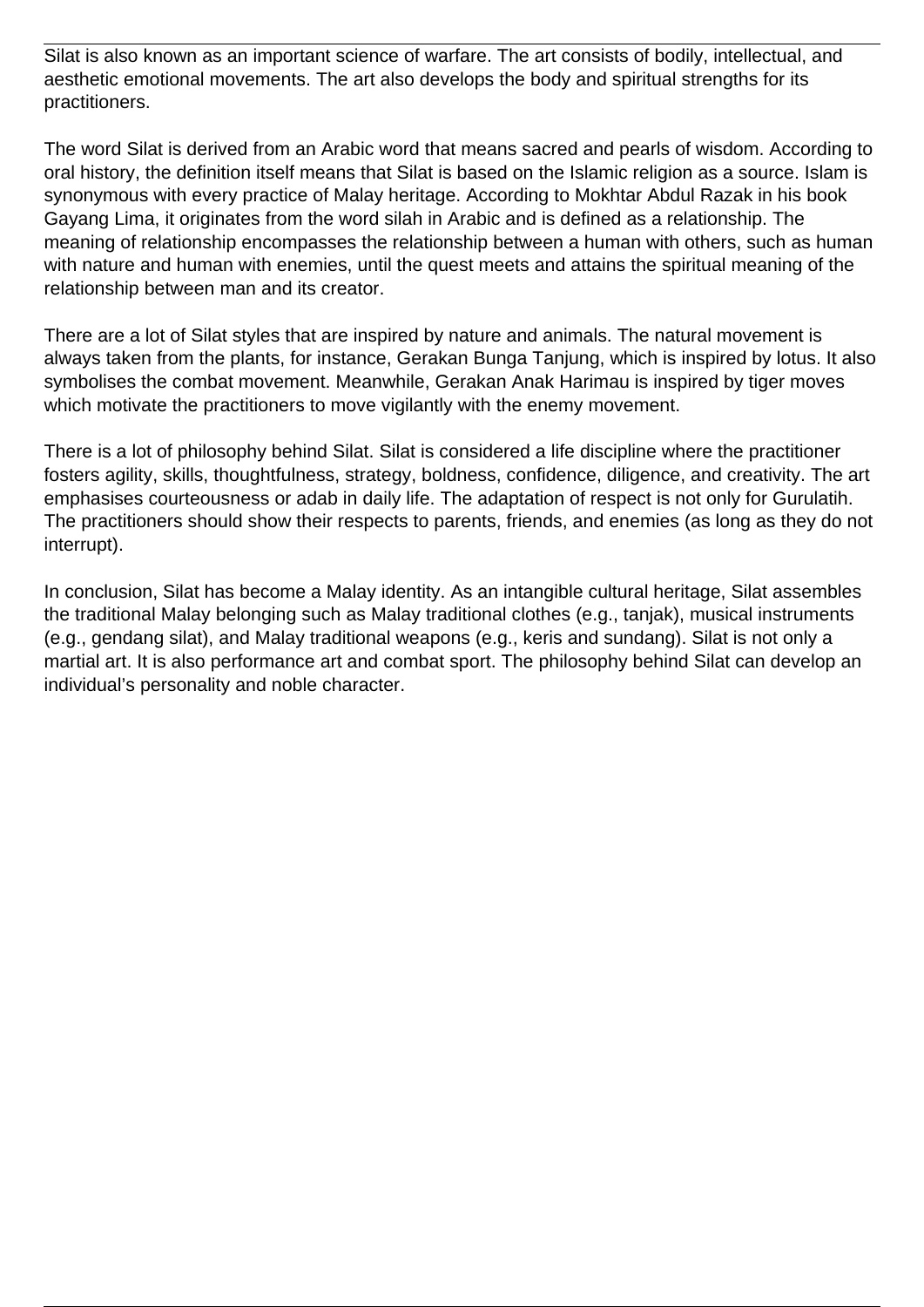Silat is also known as an important science of warfare. The art consists of bodily, intellectual, and aesthetic emotional movements. The art also develops the body and spiritual strengths for its practitioners.

The word Silat is derived from an Arabic word that means sacred and pearls of wisdom. According to oral history, the definition itself means that Silat is based on the Islamic religion as a source. Islam is synonymous with every practice of Malay heritage. According to Mokhtar Abdul Razak in his book Gayang Lima, it originates from the word silah in Arabic and is defined as a relationship. The meaning of relationship encompasses the relationship between a human with others, such as human with nature and human with enemies, until the quest meets and attains the spiritual meaning of the relationship between man and its creator.

There are a lot of Silat styles that are inspired by nature and animals. The natural movement is always taken from the plants, for instance, Gerakan Bunga Tanjung, which is inspired by lotus. It also symbolises the combat movement. Meanwhile, Gerakan Anak Harimau is inspired by tiger moves which motivate the practitioners to move vigilantly with the enemy movement.

There is a lot of philosophy behind Silat. Silat is considered a life discipline where the practitioner fosters agility, skills, thoughtfulness, strategy, boldness, confidence, diligence, and creativity. The art emphasises courteousness or adab in daily life. The adaptation of respect is not only for Gurulatih. The practitioners should show their respects to parents, friends, and enemies (as long as they do not interrupt).

In conclusion, Silat has become a Malay identity. As an intangible cultural heritage, Silat assembles the traditional Malay belonging such as Malay traditional clothes (e.g., tanjak), musical instruments (e.g., gendang silat), and Malay traditional weapons (e.g., keris and sundang). Silat is not only a martial art. It is also performance art and combat sport. The philosophy behind Silat can develop an individual's personality and noble character.